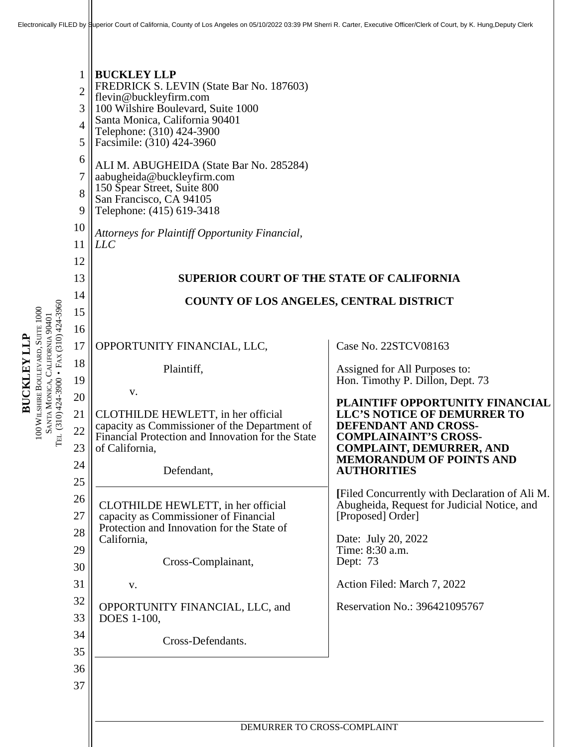| 9<br>10<br>11<br>12<br>13<br>14<br>TEL (310) 424-3900 • FAX (310) 424-3960<br>15<br>16<br>17<br>18<br>19<br>20<br>21<br>22<br>23<br>24<br>25<br>26<br>27<br>28<br>29<br>30<br>31<br>32<br>33<br>34<br>35<br>36<br>37 | Telephone: (415) 619-3418<br>Attorneys for Plaintiff Opportunity Financial,<br><i>LLC</i><br>SUPERIOR COURT OF THE STATE OF CALIFORNIA<br><b>COUNTY OF LOS ANGELES, CENTRAL DISTRICT</b><br>OPPORTUNITY FINANCIAL, LLC,<br>Plaintiff,<br>V.<br>CLOTHILDE HEWLETT, in her official<br>capacity as Commissioner of the Department of<br>Financial Protection and Innovation for the State<br>of California,<br>Defendant,<br>CLOTHILDE HEWLETT, in her official<br>capacity as Commissioner of Financial<br>Protection and Innovation for the State of<br>California,<br>Cross-Complainant,<br>V.<br>OPPORTUNITY FINANCIAL, LLC, and<br>DOES 1-100,<br>Cross-Defendants. | Case No. 22STCV08163<br>Assigned for All Purposes to:<br>Hon. Timothy P. Dillon, Dept. 73<br>PLAINTIFF OPPORTUNITY FINANCIAL<br>LLC'S NOTICE OF DEMURRER TO<br>DEFENDANT AND CROSS-<br><b>COMPLAINAINT'S CROSS-</b><br><b>COMPLAINT, DEMURRER, AND</b><br><b>MEMORANDUM OF POINTS AND</b><br><b>AUTHORITIES</b><br>[Filed Concurrently with Declaration of Ali M.<br>Abugheida, Request for Judicial Notice, and<br>[Proposed] Order]<br>Date: July 20, 2022<br>Time: 8:30 a.m.<br>Dept: 73<br>Action Filed: March 7, 2022<br>Reservation No.: 396421095767 |  |  |  |  |  |  |
|----------------------------------------------------------------------------------------------------------------------------------------------------------------------------------------------------------------------|------------------------------------------------------------------------------------------------------------------------------------------------------------------------------------------------------------------------------------------------------------------------------------------------------------------------------------------------------------------------------------------------------------------------------------------------------------------------------------------------------------------------------------------------------------------------------------------------------------------------------------------------------------------------|-------------------------------------------------------------------------------------------------------------------------------------------------------------------------------------------------------------------------------------------------------------------------------------------------------------------------------------------------------------------------------------------------------------------------------------------------------------------------------------------------------------------------------------------------------------|--|--|--|--|--|--|
|                                                                                                                                                                                                                      | DEMURRER TO CROSS-COMPLAINT                                                                                                                                                                                                                                                                                                                                                                                                                                                                                                                                                                                                                                            |                                                                                                                                                                                                                                                                                                                                                                                                                                                                                                                                                             |  |  |  |  |  |  |

**BUCKLEYLLP**

100 WILSHIRE B O ULEV

 $\mathbb{S}^4$ NTA  $\mathbf{\Sigma}$   $\mathbf{\beta}$ 

 $\mathbb{I}$ 

O NICA, C

ALIFORNIA 90401

ARD, SUITE 1000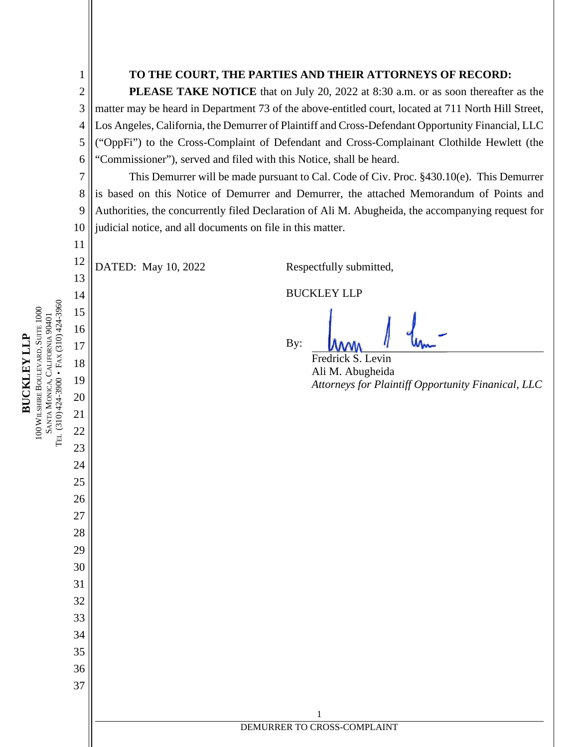1 2

4

8

11

#### **TO THE COURT, THE PARTIES AND THEIR ATTORNEYS OF RECORD:**

3 5 6 **PLEASE TAKE NOTICE** that on July 20, 2022 at 8:30 a.m. or as soon thereafter as the matter may be heard in Department 73 of the above-entitled court, located at 711 North Hill Street, Los Angeles, California, the Demurrer of Plaintiff and Cross-Defendant Opportunity Financial, LLC ("OppFi") to the Cross-Complaint of Defendant and Cross-Complainant Clothilde Hewlett (the "Commissioner"), served and filed with this Notice, shall be heard.

7 9 10 This Demurrer will be made pursuant to Cal. Code of Civ. Proc. §430.10(e). This Demurrer is based on this Notice of Demurrer and Demurrer, the attached Memorandum of Points and Authorities, the concurrently filed Declaration of Ali M. Abugheida, the accompanying request for judicial notice, and all documents on file in this matter.

12 13 DATED: May 10, 2022 Respectfully submitted,

BUCKLEY LLP

1 DEMURRER TO CROSS-COMPLAINT

By:

Fredrick S. Levin Ali M. Abugheida *Attorneys for Plaintiff Opportunity Finanical, LLC*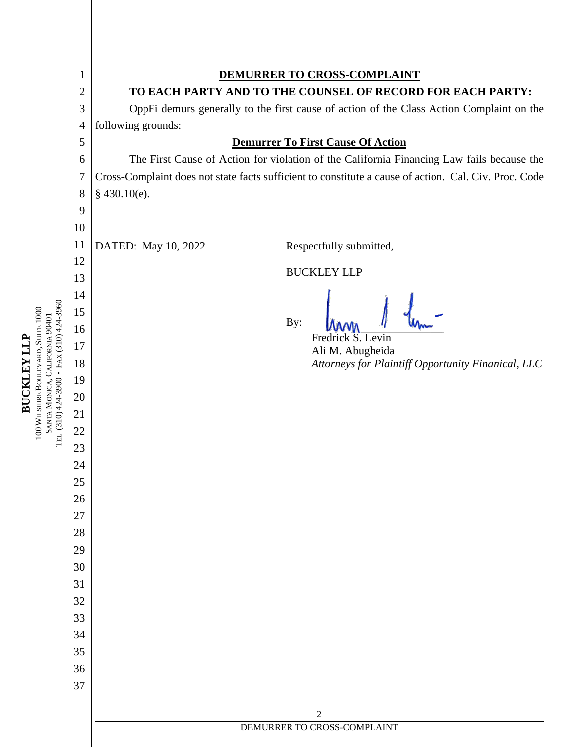|                                                                            | $\mathbf{1}$   | <b>DEMURRER TO CROSS-COMPLAINT</b>                                                                    |                                                    |  |  |  |  |  |  |
|----------------------------------------------------------------------------|----------------|-------------------------------------------------------------------------------------------------------|----------------------------------------------------|--|--|--|--|--|--|
|                                                                            | $\overline{2}$ | TO EACH PARTY AND TO THE COUNSEL OF RECORD FOR EACH PARTY:                                            |                                                    |  |  |  |  |  |  |
|                                                                            | 3              | OppFi demurs generally to the first cause of action of the Class Action Complaint on the              |                                                    |  |  |  |  |  |  |
|                                                                            | 4              | following grounds:                                                                                    |                                                    |  |  |  |  |  |  |
|                                                                            | 5              | <b>Demurrer To First Cause Of Action</b>                                                              |                                                    |  |  |  |  |  |  |
|                                                                            | 6              | The First Cause of Action for violation of the California Financing Law fails because the             |                                                    |  |  |  |  |  |  |
|                                                                            | 7              | Cross-Complaint does not state facts sufficient to constitute a cause of action. Cal. Civ. Proc. Code |                                                    |  |  |  |  |  |  |
|                                                                            | 8              | $§$ 430.10(e).                                                                                        |                                                    |  |  |  |  |  |  |
|                                                                            | 9              |                                                                                                       |                                                    |  |  |  |  |  |  |
|                                                                            | 10<br>11       | DATED: May 10, 2022                                                                                   | Respectfully submitted,                            |  |  |  |  |  |  |
|                                                                            | 12             |                                                                                                       |                                                    |  |  |  |  |  |  |
|                                                                            | 13             | <b>BUCKLEY LLP</b>                                                                                    |                                                    |  |  |  |  |  |  |
|                                                                            | 14             |                                                                                                       |                                                    |  |  |  |  |  |  |
|                                                                            | 15             |                                                                                                       |                                                    |  |  |  |  |  |  |
|                                                                            | 16             | By:                                                                                                   | Fredrick S. Levin                                  |  |  |  |  |  |  |
|                                                                            | 17             |                                                                                                       | Ali M. Abugheida                                   |  |  |  |  |  |  |
|                                                                            | 18             |                                                                                                       | Attorneys for Plaintiff Opportunity Finanical, LLC |  |  |  |  |  |  |
|                                                                            | 19             |                                                                                                       |                                                    |  |  |  |  |  |  |
|                                                                            | 20             |                                                                                                       |                                                    |  |  |  |  |  |  |
|                                                                            | 21             |                                                                                                       |                                                    |  |  |  |  |  |  |
| SANTA MONICA, CALIFORNIA 90401<br>Tel. (310) 424-3900 • Fax (310) 424-3960 | 22             |                                                                                                       |                                                    |  |  |  |  |  |  |
|                                                                            | 23             |                                                                                                       |                                                    |  |  |  |  |  |  |
|                                                                            | 24<br>25       |                                                                                                       |                                                    |  |  |  |  |  |  |
|                                                                            | 26             |                                                                                                       |                                                    |  |  |  |  |  |  |
|                                                                            | 27             |                                                                                                       |                                                    |  |  |  |  |  |  |
|                                                                            | 28             |                                                                                                       |                                                    |  |  |  |  |  |  |
|                                                                            | 29             |                                                                                                       |                                                    |  |  |  |  |  |  |
|                                                                            | 30             |                                                                                                       |                                                    |  |  |  |  |  |  |
|                                                                            | 31             |                                                                                                       |                                                    |  |  |  |  |  |  |
|                                                                            | 32             |                                                                                                       |                                                    |  |  |  |  |  |  |
|                                                                            | 33             |                                                                                                       |                                                    |  |  |  |  |  |  |
|                                                                            | 34             |                                                                                                       |                                                    |  |  |  |  |  |  |
|                                                                            | 35             |                                                                                                       |                                                    |  |  |  |  |  |  |
|                                                                            | 36             |                                                                                                       |                                                    |  |  |  |  |  |  |
|                                                                            | 37             |                                                                                                       |                                                    |  |  |  |  |  |  |
|                                                                            |                | $\mathfrak 2$                                                                                         |                                                    |  |  |  |  |  |  |
|                                                                            |                | DEMURRER TO CROSS-COMPLAINT                                                                           |                                                    |  |  |  |  |  |  |
|                                                                            |                |                                                                                                       |                                                    |  |  |  |  |  |  |

**BUCKLEYLLP**

100 WILSHIRE B O ULEV

ARD, SUITE 1000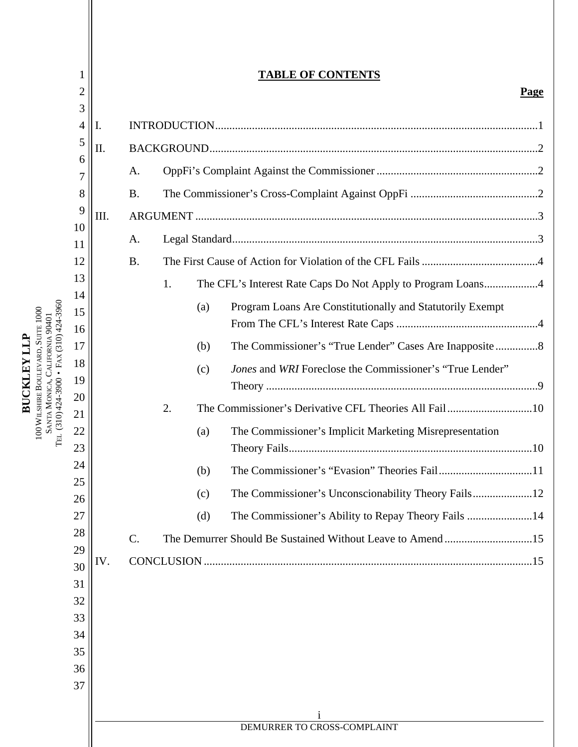|                                       | 1<br>$\overline{2}$ |     |                 |    |     | <b>TABLE OF CONTENTS</b><br><b>Page</b>                     |  |  |
|---------------------------------------|---------------------|-----|-----------------|----|-----|-------------------------------------------------------------|--|--|
|                                       | 3<br>4              | Ι.  |                 |    |     |                                                             |  |  |
|                                       | 5                   | П.  |                 |    |     |                                                             |  |  |
|                                       | 6                   |     | A.              |    |     |                                                             |  |  |
|                                       | 7                   |     |                 |    |     |                                                             |  |  |
|                                       | 8<br>9              |     | <b>B.</b>       |    |     |                                                             |  |  |
|                                       | 10                  | Ш.  |                 |    |     |                                                             |  |  |
|                                       | 11                  |     | A.              |    |     |                                                             |  |  |
|                                       | 12                  |     | <b>B.</b>       |    |     |                                                             |  |  |
|                                       | 13<br>14            |     |                 | 1. |     | The CFL's Interest Rate Caps Do Not Apply to Program Loans4 |  |  |
|                                       | 15                  |     |                 |    | (a) | Program Loans Are Constitutionally and Statutorily Exempt   |  |  |
|                                       | 16                  |     |                 |    |     |                                                             |  |  |
|                                       | 17                  |     |                 |    | (b) | The Commissioner's "True Lender" Cases Are Inapposite8      |  |  |
| $(310)424-3900$ • FAX $(310)424-3960$ | 18                  |     |                 |    | (c) | Jones and WRI Foreclose the Commissioner's "True Lender"    |  |  |
|                                       | 19<br>20            |     |                 |    |     |                                                             |  |  |
|                                       | 21                  |     |                 | 2. |     |                                                             |  |  |
| TEL.                                  | 22<br>23            |     |                 |    | (a) | The Commissioner's Implicit Marketing Misrepresentation     |  |  |
|                                       | 24                  |     |                 |    | (b) |                                                             |  |  |
|                                       | 25                  |     |                 |    |     |                                                             |  |  |
|                                       | 26                  |     |                 |    | (c) |                                                             |  |  |
|                                       | 27<br>28            |     |                 |    | (d) | The Commissioner's Ability to Repay Theory Fails 14         |  |  |
|                                       | 29                  |     | $\mathcal{C}$ . |    |     | The Demurrer Should Be Sustained Without Leave to Amend15   |  |  |
|                                       | 30                  | IV. |                 |    |     |                                                             |  |  |
|                                       | 31                  |     |                 |    |     |                                                             |  |  |
|                                       | 32<br>33            |     |                 |    |     |                                                             |  |  |
|                                       | 34                  |     |                 |    |     |                                                             |  |  |
|                                       | 35                  |     |                 |    |     |                                                             |  |  |
|                                       | 36                  |     |                 |    |     |                                                             |  |  |
|                                       | 37                  |     |                 |    |     |                                                             |  |  |
|                                       |                     |     |                 |    |     |                                                             |  |  |
|                                       |                     |     |                 |    |     | DEMURRER TO CROSS-COMPLAINT                                 |  |  |

**BUCKLEYLLP**100 WILSHIRE B O ULEV ARD, SUITE 1000 NTA  $\mathbf{\Sigma}$   $\mathbf{\beta}$ O NICA, C ALIFORNIA 90401 AX

 $\mathbb{S}^4$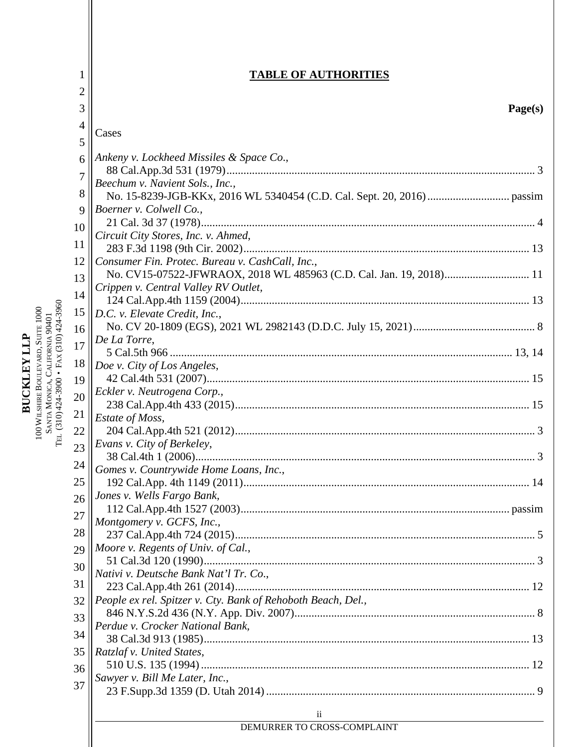|                                         | 1              | <b>TABLE OF AUTHORITIES</b>                                         |
|-----------------------------------------|----------------|---------------------------------------------------------------------|
|                                         | $\overline{2}$ |                                                                     |
|                                         | 3              | Page(s)                                                             |
|                                         | 4              |                                                                     |
|                                         |                | Cases                                                               |
|                                         | 5              |                                                                     |
|                                         | 6              | Ankeny v. Lockheed Missiles & Space Co.,                            |
|                                         | $\overline{7}$ |                                                                     |
|                                         | 8              | Beechum v. Navient Sols., Inc.,                                     |
|                                         | 9              | Boerner v. Colwell Co.,                                             |
|                                         |                |                                                                     |
|                                         | 10<br>11       | Circuit City Stores, Inc. v. Ahmed,                                 |
|                                         |                |                                                                     |
|                                         | 12             | Consumer Fin. Protec. Bureau v. CashCall, Inc.,                     |
|                                         | 13             | No. CV15-07522-JFWRAOX, 2018 WL 485963 (C.D. Cal. Jan. 19, 2018) 11 |
|                                         | 14             | Crippen v. Central Valley RV Outlet,                                |
|                                         | 15             | D.C. v. Elevate Credit, Inc.,                                       |
|                                         |                |                                                                     |
|                                         | 16             | De La Torre,                                                        |
|                                         | 17             |                                                                     |
|                                         | 18             | Doe v. City of Los Angeles,                                         |
|                                         | 19             |                                                                     |
|                                         | 20             | Eckler v. Neutrogena Corp.,                                         |
|                                         | 21             | Estate of Moss,                                                     |
| TEL (310) 424-3900 • FAX (310) 424-3960 | 22             |                                                                     |
|                                         | 23             | Evans v. City of Berkeley,                                          |
|                                         |                |                                                                     |
|                                         | 24             | Gomes v. Countrywide Home Loans, Inc.,                              |
|                                         | 25             |                                                                     |
|                                         | 26             | Jones v. Wells Fargo Bank,                                          |
|                                         | 27             | Montgomery v. GCFS, Inc.,                                           |
|                                         | 28             |                                                                     |
|                                         | 29             | Moore v. Regents of Univ. of Cal.,                                  |
|                                         | 30             |                                                                     |
|                                         |                | Nativi v. Deutsche Bank Nat'l Tr. Co.,                              |
|                                         | 31             |                                                                     |
|                                         | 32             | People ex rel. Spitzer v. Cty. Bank of Rehoboth Beach, Del.,        |
|                                         | 33             | Perdue v. Crocker National Bank,                                    |
|                                         | 34             |                                                                     |
|                                         | 35             | Ratzlaf v. United States,                                           |
|                                         | 36             |                                                                     |
|                                         | 37             | Sawyer v. Bill Me Later, Inc.,                                      |
|                                         |                |                                                                     |
|                                         |                | $\overline{11}$                                                     |
|                                         |                | DEMURRER TO CROSS-COMPLAINT                                         |
|                                         |                |                                                                     |

**BUCKLEYLLP**100 WILSHIRE B O ULEV ARD, SUITE 1000 NTA  $\mathbf{\Sigma}$   $\mathbf{\beta}$ O NICA, C ALIFORNIA 90401

 $\mathbb{S}^4$ 

II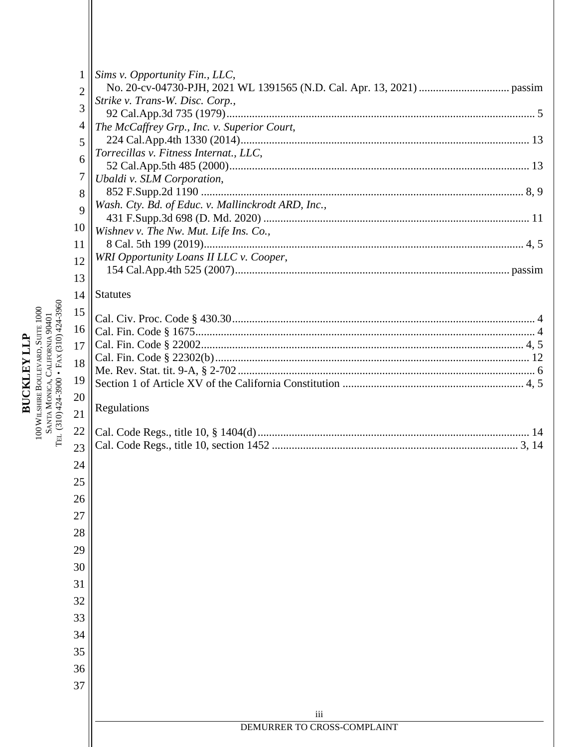|                                       | 1              | Sims v. Opportunity Fin., LLC,                     |
|---------------------------------------|----------------|----------------------------------------------------|
|                                       | $\overline{2}$ | Strike v. Trans-W. Disc. Corp.,                    |
|                                       | 3              |                                                    |
|                                       | 4              | The McCaffrey Grp., Inc. v. Superior Court,        |
|                                       | 5              |                                                    |
|                                       | 6              | Torrecillas v. Fitness Internat., LLC,             |
|                                       | 7              | Ubaldi v. SLM Corporation,                         |
|                                       | 8              |                                                    |
|                                       | 9              | Wash. Cty. Bd. of Educ. v. Mallinckrodt ARD, Inc., |
|                                       | 10             | Wishnev v. The Nw. Mut. Life Ins. Co.,             |
|                                       | 11             |                                                    |
|                                       | 12             | WRI Opportunity Loans II LLC v. Cooper,            |
|                                       | 13             |                                                    |
|                                       | 14             | <b>Statutes</b>                                    |
|                                       | 15             |                                                    |
|                                       | 16             |                                                    |
|                                       | 17             |                                                    |
|                                       | 18             |                                                    |
|                                       | 19             |                                                    |
|                                       | 20             |                                                    |
| $(310)424-3900$ • FAX $(310)424-3960$ | 21             | Regulations                                        |
|                                       | 22             |                                                    |
| TЕL                                   | 23             |                                                    |
|                                       | 24             |                                                    |
|                                       | 25             |                                                    |
|                                       | 26             |                                                    |
|                                       | 27             |                                                    |
|                                       | 28             |                                                    |
|                                       | 29             |                                                    |
|                                       | 30             |                                                    |
|                                       | 31             |                                                    |
|                                       | 32             |                                                    |
|                                       | 33             |                                                    |
|                                       | 34             |                                                    |
|                                       | 35             |                                                    |
|                                       | 36             |                                                    |
|                                       |                |                                                    |
|                                       | 37             |                                                    |
|                                       |                | iii                                                |
|                                       |                | DEMURRER TO CROSS-COMPLAINT                        |
|                                       |                |                                                    |

**BUCKLEYLLP**100 WILSHIRE B O ULEV ARD, SUITE 1000 NTA  $\mathbf{\Sigma}$   $\mathbf{\beta}$ O NICA, C ALIFORNIA 90401

 $\mathbb{S}^4$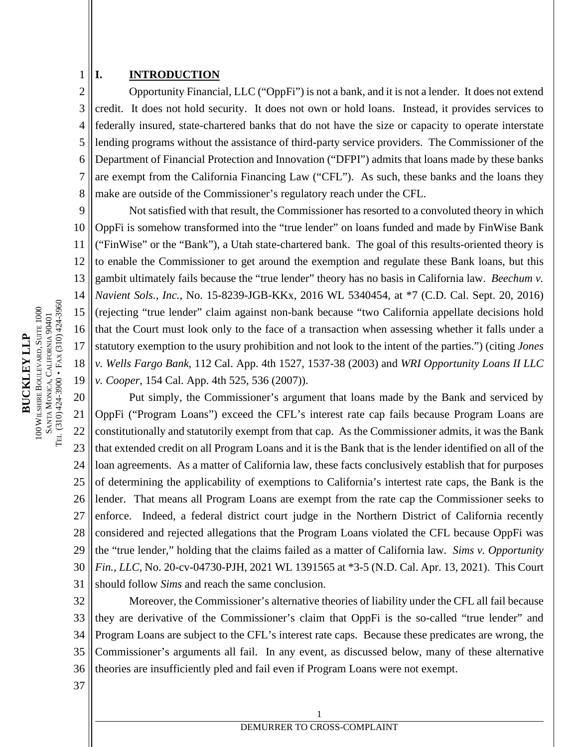#### **I. INTRODUCTION**

1

2 3 4 5 6 7 8 Opportunity Financial, LLC ("OppFi") is not a bank, and it is not a lender. It does not extend credit. It does not hold security. It does not own or hold loans. Instead, it provides services to federally insured, state-chartered banks that do not have the size or capacity to operate interstate lending programs without the assistance of third-party service providers. The Commissioner of the Department of Financial Protection and Innovation ("DFPI") admits that loans made by these banks are exempt from the California Financing Law ("CFL"). As such, these banks and the loans they make are outside of the Commissioner's regulatory reach under the CFL.

9 10 11 12 13 14 15 16 17 18 19 Not satisfied with that result, the Commissioner has resorted to a convoluted theory in which OppFi is somehow transformed into the "true lender" on loans funded and made by FinWise Bank ("FinWise" or the "Bank"), a Utah state-chartered bank. The goal of this results-oriented theory is to enable the Commissioner to get around the exemption and regulate these Bank loans, but this gambit ultimately fails because the "true lender" theory has no basis in California law. *Beechum v. Navient Sols., Inc.,* No. 15-8239-JGB-KKx, 2016 WL 5340454, at \*7 (C.D. Cal. Sept. 20, 2016) (rejecting "true lender" claim against non-bank because "two California appellate decisions hold that the Court must look only to the face of a transaction when assessing whether it falls under a statutory exemption to the usury prohibition and not look to the intent of the parties.") (citing *Jones v. Wells Fargo Bank,* 112 Cal. App. 4th 1527, 1537-38 (2003) and *WRI Opportunity Loans II LLC v. Cooper*, 154 Cal. App. 4th 525, 536 (2007)).

20 21 22 23 24 25 26 27 28 29 30 31 Put simply, the Commissioner's argument that loans made by the Bank and serviced by OppFi ("Program Loans") exceed the CFL's interest rate cap fails because Program Loans are constitutionally and statutorily exempt from that cap. As the Commissioner admits, it was the Bank that extended credit on all Program Loans and it is the Bank that is the lender identified on all of the loan agreements. As a matter of California law, these facts conclusively establish that for purposes of determining the applicability of exemptions to California's intertest rate caps, the Bank is the lender. That means all Program Loans are exempt from the rate cap the Commissioner seeks to enforce. Indeed, a federal district court judge in the Northern District of California recently considered and rejected allegations that the Program Loans violated the CFL because OppFi was the "true lender," holding that the claims failed as a matter of California law. *Sims v. Opportunity Fin., LLC*, No. 20-cv-04730-PJH, 2021 WL 1391565 at \*3-5 (N.D. Cal. Apr. 13, 2021). This Court should follow *Sims* and reach the same conclusion.

32 33 34 35 36 Moreover, the Commissioner's alternative theories of liability under the CFL all fail because they are derivative of the Commissioner's claim that OppFi is the so-called "true lender" and Program Loans are subject to the CFL's interest rate caps. Because these predicates are wrong, the Commissioner's arguments all fail. In any event, as discussed below, many of these alternative theories are insufficiently pled and fail even if Program Loans were not exempt.

37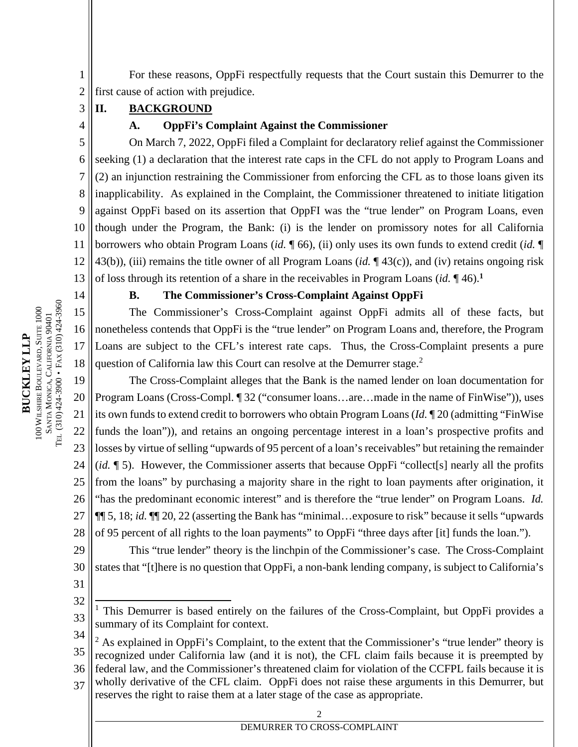For these reasons, OppFi respectfully requests that the Court sustain this Demurrer to the first cause of action with prejudice.

# **II. BACKGROUND**

3 4

14

1 2

### **A. OppFi's Complaint Against the Commissioner**

5 6 7 8 9 10 11 12 13 On March 7, 2022, OppFi filed a Complaint for declaratory relief against the Commissioner seeking (1) a declaration that the interest rate caps in the CFL do not apply to Program Loans and (2) an injunction restraining the Commissioner from enforcing the CFL as to those loans given its inapplicability. As explained in the Complaint, the Commissioner threatened to initiate litigation against OppFi based on its assertion that OppFI was the "true lender" on Program Loans, even though under the Program, the Bank: (i) is the lender on promissory notes for all California borrowers who obtain Program Loans (*id.* ¶ 66), (ii) only uses its own funds to extend credit (*id.* ¶ 43(b)), (iii) remains the title owner of all Program Loans (*id.* ¶ 43(c)), and (iv) retains ongoing risk of loss through its retention of a share in the receivables in Program Loans (*id.* ¶ 46).**<sup>1</sup>**

### **B. The Commissioner's Cross-Complaint Against OppFi**

15 16 17 18 The Commissioner's Cross-Complaint against OppFi admits all of these facts, but nonetheless contends that OppFi is the "true lender" on Program Loans and, therefore, the Program Loans are subject to the CFL's interest rate caps. Thus, the Cross-Complaint presents a pure question of California law this Court can resolve at the Demurrer stage.<sup>2</sup>

19 20 21 22 23 24 25 26 27 28 The Cross-Complaint alleges that the Bank is the named lender on loan documentation for Program Loans (Cross-Compl. ¶ 32 ("consumer loans…are…made in the name of FinWise")), uses its own funds to extend credit to borrowers who obtain Program Loans (*Id.* ¶ 20 (admitting "FinWise funds the loan")), and retains an ongoing percentage interest in a loan's prospective profits and losses by virtue of selling "upwards of 95 percent of a loan's receivables" but retaining the remainder (*id.* ¶ 5). However, the Commissioner asserts that because OppFi "collect[s] nearly all the profits from the loans" by purchasing a majority share in the right to loan payments after origination, it "has the predominant economic interest" and is therefore the "true lender" on Program Loans. *Id.* ¶¶ 5, 18; *id.* ¶¶ 20, 22 (asserting the Bank has "minimal…exposure to risk" because it sells "upwards of 95 percent of all rights to the loan payments" to OppFi "three days after [it] funds the loan.").

29 30 This "true lender" theory is the linchpin of the Commissioner's case. The Cross-Complaint states that "[t]here is no question that OppFi, a non-bank lending company, is subject to California's

31 32

37 wholly derivative of the CFL claim. OppFi does not raise these arguments in this Demurrer, but reserves the right to raise them at a later stage of the case as appropriate.

<sup>33</sup> <sup>1</sup> This Demurrer is based entirely on the failures of the Cross-Complaint, but OppFi provides a summary of its Complaint for context.

<sup>34</sup> 35 36  $2$  As explained in OppFi's Complaint, to the extent that the Commissioner's "true lender" theory is recognized under California law (and it is not), the CFL claim fails because it is preempted by federal law, and the Commissioner's threatened claim for violation of the CCFPL fails because it is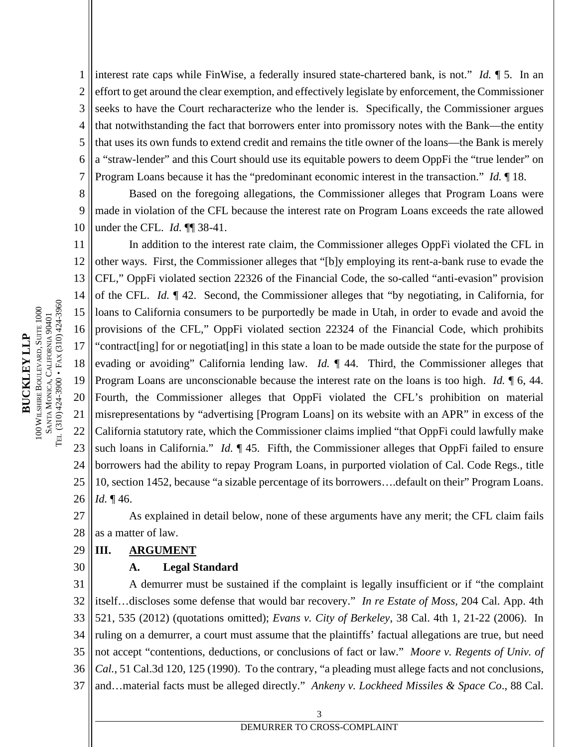1 2 3 4 5 6 7 interest rate caps while FinWise, a federally insured state-chartered bank, is not." *Id.* ¶ 5. In an effort to get around the clear exemption, and effectively legislate by enforcement, the Commissioner seeks to have the Court recharacterize who the lender is. Specifically, the Commissioner argues that notwithstanding the fact that borrowers enter into promissory notes with the Bank—the entity that uses its own funds to extend credit and remains the title owner of the loans—the Bank is merely a "straw-lender" and this Court should use its equitable powers to deem OppFi the "true lender" on Program Loans because it has the "predominant economic interest in the transaction." *Id.* ¶ 18.

8 9 10 Based on the foregoing allegations, the Commissioner alleges that Program Loans were made in violation of the CFL because the interest rate on Program Loans exceeds the rate allowed under the CFL. *Id.* ¶¶ 38-41.

11 12 13 14 15 16 17 18 19 20 21 22 23 24 25 26 In addition to the interest rate claim, the Commissioner alleges OppFi violated the CFL in other ways. First, the Commissioner alleges that "[b]y employing its rent-a-bank ruse to evade the CFL," OppFi violated section 22326 of the Financial Code, the so-called "anti-evasion" provision of the CFL. *Id.* ¶ 42. Second, the Commissioner alleges that "by negotiating, in California, for loans to California consumers to be purportedly be made in Utah, in order to evade and avoid the provisions of the CFL," OppFi violated section 22324 of the Financial Code, which prohibits "contract[ing] for or negotiat[ing] in this state a loan to be made outside the state for the purpose of evading or avoiding" California lending law. *Id.* ¶ 44. Third, the Commissioner alleges that Program Loans are unconscionable because the interest rate on the loans is too high. *Id.* ¶ 6, 44. Fourth, the Commissioner alleges that OppFi violated the CFL's prohibition on material misrepresentations by "advertising [Program Loans] on its website with an APR" in excess of the California statutory rate, which the Commissioner claims implied "that OppFi could lawfully make such loans in California." *Id.* ¶ 45. Fifth, the Commissioner alleges that OppFi failed to ensure borrowers had the ability to repay Program Loans, in purported violation of Cal. Code Regs., title 10, section 1452, because "a sizable percentage of its borrowers….default on their" Program Loans. *Id.* ¶ 46.

27 28 As explained in detail below, none of these arguments have any merit; the CFL claim fails as a matter of law.

#### 29 **III. ARGUMENT**

30

#### **A. Legal Standard**

31 32 33 34 35 36 37 A demurrer must be sustained if the complaint is legally insufficient or if "the complaint itself…discloses some defense that would bar recovery." *In re Estate of Moss,* 204 Cal. App. 4th 521, 535 (2012) (quotations omitted); *Evans v. City of Berkeley*, 38 Cal. 4th 1, 21-22 (2006). In ruling on a demurrer, a court must assume that the plaintiffs' factual allegations are true, but need not accept "contentions, deductions, or conclusions of fact or law." *Moore v. Regents of Univ. of Cal.*, 51 Cal.3d 120, 125 (1990). To the contrary, "a pleading must allege facts and not conclusions, and…material facts must be alleged directly." *Ankeny v. Lockheed Missiles & Space Co*., 88 Cal.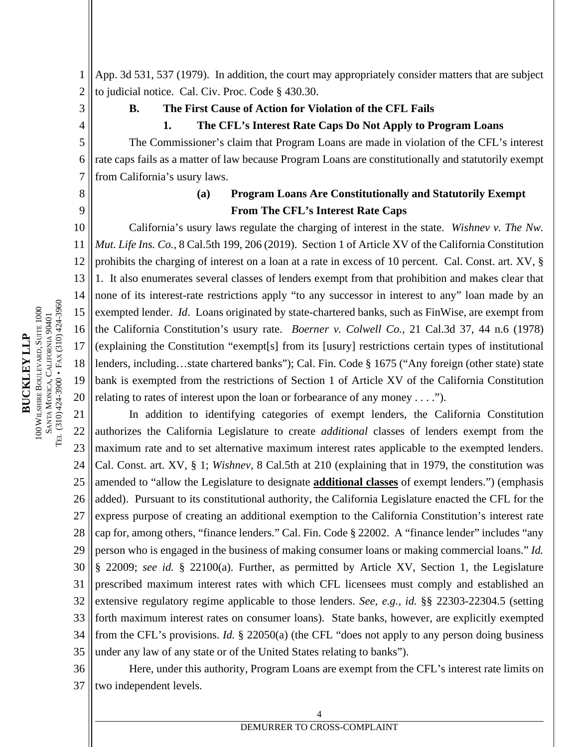**BUCKLEYLLP**100 WILSHIRE B OULEV ARD, SUITE 1000  $\mathbb{S}^4$ NTA MONICA, C ALIFORNIA 90401 TEL (310) 424-3900 • F AX(310) 424-3960

1 2 App. 3d 531, 537 (1979). In addition, the court may appropriately consider matters that are subject to judicial notice. Cal. Civ. Proc. Code § 430.30.

3

4 5 6

#### **B. The First Cause of Action for Violation of the CFL Fails**

#### **1. The CFL's Interest Rate Caps Do Not Apply to Program Loans**

The Commissioner's claim that Program Loans are made in violation of the CFL's interest rate caps fails as a matter of law because Program Loans are constitutionally and statutorily exempt from California's usury laws.

7 8

9

# **(a) Program Loans Are Constitutionally and Statutorily Exempt From The CFL's Interest Rate Caps**

10 11 12 13 14 15 16 17 18 19 20 California's usury laws regulate the charging of interest in the state. *Wishnev v. The Nw. Mut. Life Ins. Co.,* 8 Cal.5th 199, 206 (2019). Section 1 of Article XV of the California Constitution prohibits the charging of interest on a loan at a rate in excess of 10 percent. Cal. Const. art. XV, § 1. It also enumerates several classes of lenders exempt from that prohibition and makes clear that none of its interest-rate restrictions apply "to any successor in interest to any" loan made by an exempted lender. *Id*. Loans originated by state-chartered banks, such as FinWise, are exempt from the California Constitution's usury rate. *Boerner v. Colwell Co.,* 21 Cal.3d 37, 44 n.6 (1978) (explaining the Constitution "exempt[s] from its [usury] restrictions certain types of institutional lenders, including…state chartered banks"); Cal. Fin. Code § 1675 ("Any foreign (other state) state bank is exempted from the restrictions of Section 1 of Article XV of the California Constitution relating to rates of interest upon the loan or forbearance of any money . . . .").

21 22 23 24 25 26 27 28 29 30 31 32 33 34 35 In addition to identifying categories of exempt lenders, the California Constitution authorizes the California Legislature to create *additional* classes of lenders exempt from the maximum rate and to set alternative maximum interest rates applicable to the exempted lenders. Cal. Const. art. XV, § 1; *Wishnev,* 8 Cal.5th at 210 (explaining that in 1979, the constitution was amended to "allow the Legislature to designate **additional classes** of exempt lenders.") (emphasis added). Pursuant to its constitutional authority, the California Legislature enacted the CFL for the express purpose of creating an additional exemption to the California Constitution's interest rate cap for, among others, "finance lenders." Cal. Fin. Code § 22002. A "finance lender" includes "any person who is engaged in the business of making consumer loans or making commercial loans." *Id.*  § 22009; *see id.* § 22100(a). Further, as permitted by Article XV, Section 1, the Legislature prescribed maximum interest rates with which CFL licensees must comply and established an extensive regulatory regime applicable to those lenders. *See, e.g., id.* §§ 22303-22304.5 (setting forth maximum interest rates on consumer loans). State banks, however, are explicitly exempted from the CFL's provisions. *Id.* § 22050(a) (the CFL "does not apply to any person doing business under any law of any state or of the United States relating to banks").

36 37 Here, under this authority, Program Loans are exempt from the CFL's interest rate limits on two independent levels.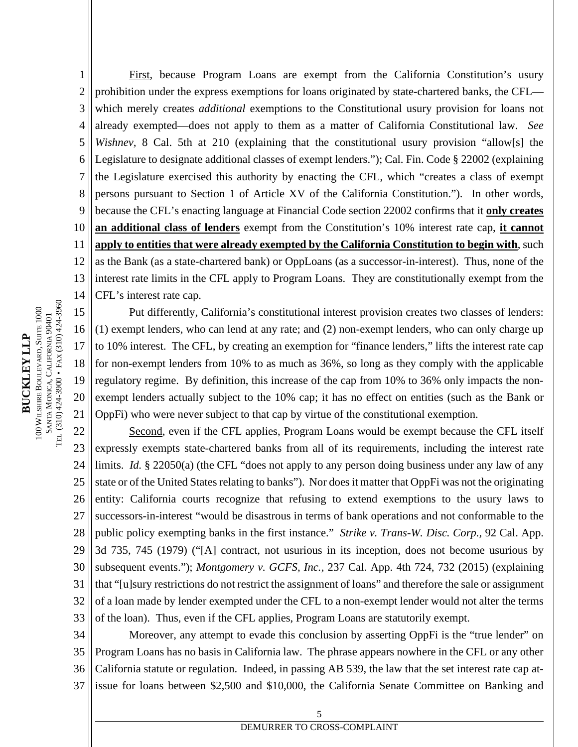1 2 3 4 5 6 7 8 9 10 11 12 13 14 First, because Program Loans are exempt from the California Constitution's usury prohibition under the express exemptions for loans originated by state-chartered banks, the CFL which merely creates *additional* exemptions to the Constitutional usury provision for loans not already exempted—does not apply to them as a matter of California Constitutional law. *See Wishnev,* 8 Cal. 5th at 210 (explaining that the constitutional usury provision "allow[s] the Legislature to designate additional classes of exempt lenders."); Cal. Fin. Code § 22002 (explaining the Legislature exercised this authority by enacting the CFL, which "creates a class of exempt persons pursuant to Section 1 of Article XV of the California Constitution."). In other words, because the CFL's enacting language at Financial Code section 22002 confirms that it **only creates an additional class of lenders** exempt from the Constitution's 10% interest rate cap, **it cannot apply to entities that were already exempted by the California Constitution to begin with**, such as the Bank (as a state-chartered bank) or OppLoans (as a successor-in-interest). Thus, none of the interest rate limits in the CFL apply to Program Loans. They are constitutionally exempt from the CFL's interest rate cap.

15 16 17 18 19 20 21 Put differently, California's constitutional interest provision creates two classes of lenders: (1) exempt lenders, who can lend at any rate; and (2) non-exempt lenders, who can only charge up to 10% interest. The CFL, by creating an exemption for "finance lenders," lifts the interest rate cap for non-exempt lenders from 10% to as much as 36%, so long as they comply with the applicable regulatory regime. By definition, this increase of the cap from 10% to 36% only impacts the nonexempt lenders actually subject to the 10% cap; it has no effect on entities (such as the Bank or OppFi) who were never subject to that cap by virtue of the constitutional exemption.

22 23 24 25 26 27 28 29 30 31 32 33 Second, even if the CFL applies, Program Loans would be exempt because the CFL itself expressly exempts state-chartered banks from all of its requirements, including the interest rate limits. *Id.* § 22050(a) (the CFL "does not apply to any person doing business under any law of any state or of the United States relating to banks"). Nor does it matter that OppFi was not the originating entity: California courts recognize that refusing to extend exemptions to the usury laws to successors-in-interest "would be disastrous in terms of bank operations and not conformable to the public policy exempting banks in the first instance." *Strike v. Trans-W. Disc. Corp.,* 92 Cal. App. 3d 735, 745 (1979) ("[A] contract, not usurious in its inception, does not become usurious by subsequent events."); *Montgomery v. GCFS, Inc.,* 237 Cal. App. 4th 724, 732 (2015) (explaining that "[u]sury restrictions do not restrict the assignment of loans" and therefore the sale or assignment of a loan made by lender exempted under the CFL to a non-exempt lender would not alter the terms of the loan). Thus, even if the CFL applies, Program Loans are statutorily exempt.

34 35 36 37 Moreover, any attempt to evade this conclusion by asserting OppFi is the "true lender" on Program Loans has no basis in California law. The phrase appears nowhere in the CFL or any other California statute or regulation. Indeed, in passing AB 539, the law that the set interest rate cap atissue for loans between \$2,500 and \$10,000, the California Senate Committee on Banking and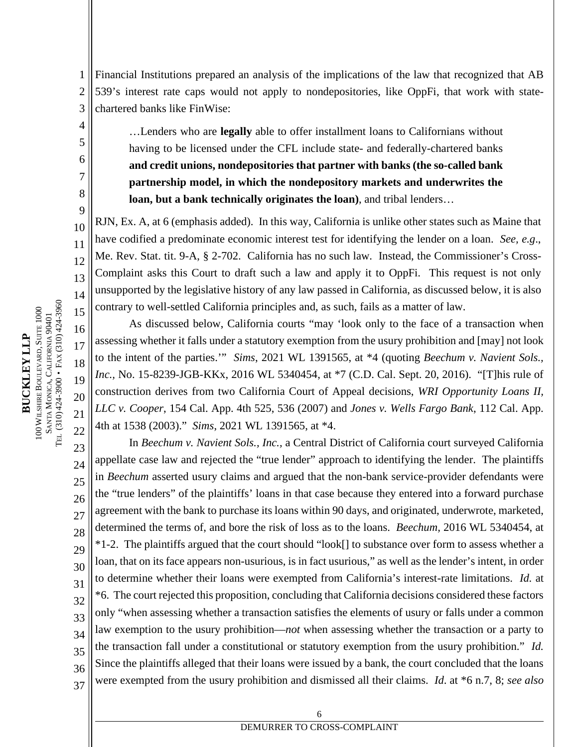1 2 3 Financial Institutions prepared an analysis of the implications of the law that recognized that AB 539's interest rate caps would not apply to nondepositories, like OppFi, that work with statechartered banks like FinWise:

…Lenders who are **legally** able to offer installment loans to Californians without having to be licensed under the CFL include state- and federally-chartered banks **and credit unions, nondepositories that partner with banks (the so-called bank partnership model, in which the nondepository markets and underwrites the loan, but a bank technically originates the loan)**, and tribal lenders…

RJN, Ex. A, at 6 (emphasis added). In this way, California is unlike other states such as Maine that have codified a predominate economic interest test for identifying the lender on a loan. *See, e.g*., Me. Rev. Stat. tit. 9-A, § 2-702. California has no such law. Instead, the Commissioner's Cross-Complaint asks this Court to draft such a law and apply it to OppFi. This request is not only unsupported by the legislative history of any law passed in California, as discussed below, it is also contrary to well-settled California principles and, as such, fails as a matter of law.

As discussed below, California courts "may 'look only to the face of a transaction when assessing whether it falls under a statutory exemption from the usury prohibition and [may] not look to the intent of the parties.'" *Sims*, 2021 WL 1391565, at \*4 (quoting *Beechum v. Navient Sols., Inc.,* No. 15-8239-JGB-KKx, 2016 WL 5340454, at \*7 (C.D. Cal. Sept. 20, 2016). "[T]his rule of construction derives from two California Court of Appeal decisions, *WRI Opportunity Loans II, LLC v. Cooper*, 154 Cal. App. 4th 525, 536 (2007) and *Jones v. Wells Fargo Bank*, 112 Cal. App. 4th at 1538 (2003)." *Sims*, 2021 WL 1391565, at \*4.

23 24 25 26 27 28 29 30 31 32 33 34 35 36 37 In *Beechum v. Navient Sols., Inc.,* a Central District of California court surveyed California appellate case law and rejected the "true lender" approach to identifying the lender. The plaintiffs in *Beechum* asserted usury claims and argued that the non-bank service-provider defendants were the "true lenders" of the plaintiffs' loans in that case because they entered into a forward purchase agreement with the bank to purchase its loans within 90 days, and originated, underwrote, marketed, determined the terms of, and bore the risk of loss as to the loans. *Beechum,* 2016 WL 5340454, at \*1-2. The plaintiffs argued that the court should "look[] to substance over form to assess whether a loan, that on its face appears non-usurious, is in fact usurious," as well as the lender's intent, in order to determine whether their loans were exempted from California's interest-rate limitations. *Id.* at \*6. The court rejected this proposition, concluding that California decisions considered these factors only "when assessing whether a transaction satisfies the elements of usury or falls under a common law exemption to the usury prohibition—*not* when assessing whether the transaction or a party to the transaction fall under a constitutional or statutory exemption from the usury prohibition." *Id.*  Since the plaintiffs alleged that their loans were issued by a bank, the court concluded that the loans were exempted from the usury prohibition and dismissed all their claims. *Id*. at \*6 n.7, 8; *see also*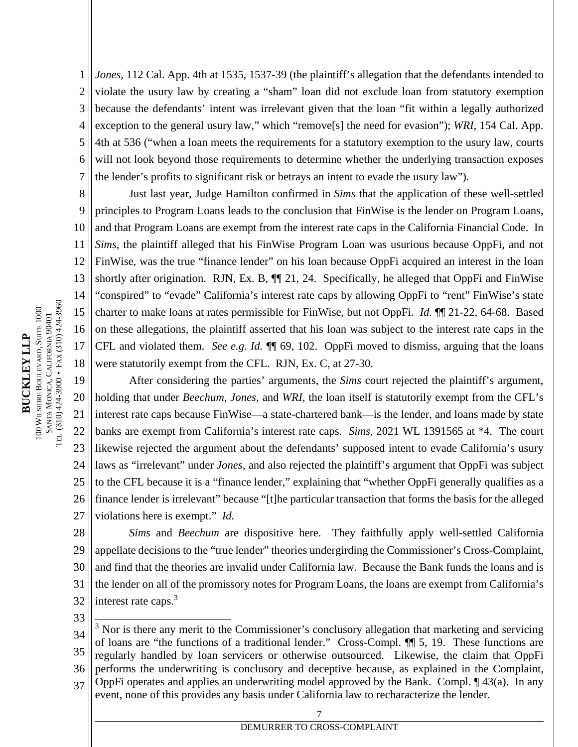1 2 3 4 5 6 7 *Jones*, 112 Cal. App. 4th at 1535, 1537-39 (the plaintiff's allegation that the defendants intended to violate the usury law by creating a "sham" loan did not exclude loan from statutory exemption because the defendants' intent was irrelevant given that the loan "fit within a legally authorized exception to the general usury law," which "remove[s] the need for evasion"); *WRI,* 154 Cal. App. 4th at 536 ("when a loan meets the requirements for a statutory exemption to the usury law, courts will not look beyond those requirements to determine whether the underlying transaction exposes the lender's profits to significant risk or betrays an intent to evade the usury law").

8 9 10 11 12 13 14 15 16 17 18 Just last year, Judge Hamilton confirmed in *Sims* that the application of these well-settled principles to Program Loans leads to the conclusion that FinWise is the lender on Program Loans, and that Program Loans are exempt from the interest rate caps in the California Financial Code. In *Sims*, the plaintiff alleged that his FinWise Program Loan was usurious because OppFi, and not FinWise, was the true "finance lender" on his loan because OppFi acquired an interest in the loan shortly after origination. RJN, Ex. B,  $\P$  $[21, 24$ . Specifically, he alleged that OppFi and FinWise "conspired" to "evade" California's interest rate caps by allowing OppFi to "rent" FinWise's state charter to make loans at rates permissible for FinWise, but not OppFi. *Id.* ¶¶ 21-22, 64-68. Based on these allegations, the plaintiff asserted that his loan was subject to the interest rate caps in the CFL and violated them. *See e.g. Id.* ¶¶ 69, 102. OppFi moved to dismiss, arguing that the loans were statutorily exempt from the CFL. RJN, Ex. C, at 27-30.

19 20 21 22 23 24 25 26 27 After considering the parties' arguments, the *Sims* court rejected the plaintiff's argument, holding that under *Beechum, Jones,* and *WRI*, the loan itself is statutorily exempt from the CFL's interest rate caps because FinWise—a state-chartered bank—is the lender, and loans made by state banks are exempt from California's interest rate caps. *Sims,* 2021 WL 1391565 at \*4. The court likewise rejected the argument about the defendants' supposed intent to evade California's usury laws as "irrelevant" under *Jones*, and also rejected the plaintiff's argument that OppFi was subject to the CFL because it is a "finance lender," explaining that "whether OppFi generally qualifies as a finance lender is irrelevant" because "[t]he particular transaction that forms the basis for the alleged violations here is exempt." *Id.* 

28 29 30 31 32 *Sims* and *Beechum* are dispositive here. They faithfully apply well-settled California appellate decisions to the "true lender" theories undergirding the Commissioner's Cross-Complaint, and find that the theories are invalid under California law. Because the Bank funds the loans and is the lender on all of the promissory notes for Program Loans, the loans are exempt from California's interest rate caps.<sup>3</sup>

33

34 35 36 37 <sup>3</sup> Nor is there any merit to the Commissioner's conclusory allegation that marketing and servicing of loans are "the functions of a traditional lender." Cross-Compl. ¶¶ 5, 19. These functions are regularly handled by loan servicers or otherwise outsourced. Likewise, the claim that OppFi performs the underwriting is conclusory and deceptive because, as explained in the Complaint, OppFi operates and applies an underwriting model approved by the Bank. Compl. ¶ 43(a). In any event, none of this provides any basis under California law to recharacterize the lender.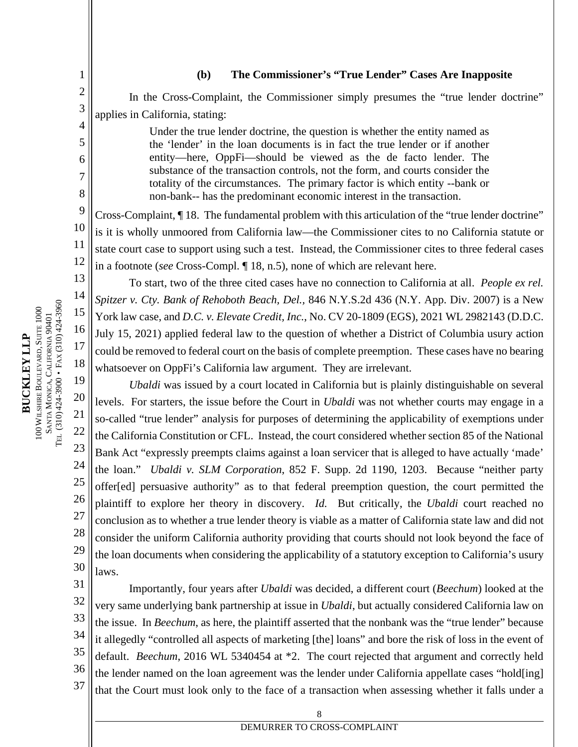#### **(b) The Commissioner's "True Lender" Cases Are Inapposite**

In the Cross-Complaint, the Commissioner simply presumes the "true lender doctrine" applies in California, stating:

> Under the true lender doctrine, the question is whether the entity named as the 'lender' in the loan documents is in fact the true lender or if another entity—here, OppFi—should be viewed as the de facto lender. The substance of the transaction controls, not the form, and courts consider the totality of the circumstances. The primary factor is which entity --bank or non-bank-- has the predominant economic interest in the transaction.

Cross-Complaint, ¶ 18. The fundamental problem with this articulation of the "true lender doctrine" is it is wholly unmoored from California law—the Commissioner cites to no California statute or state court case to support using such a test. Instead, the Commissioner cites to three federal cases in a footnote (*see* Cross-Compl. ¶ 18, n.5), none of which are relevant here.

To start, two of the three cited cases have no connection to California at all. *People ex rel. Spitzer v. Cty. Bank of Rehoboth Beach, Del.,* 846 N.Y.S.2d 436 (N.Y. App. Div. 2007) is a New York law case, and *D.C. v. Elevate Credit, Inc.*, No. CV 20-1809 (EGS), 2021 WL 2982143 (D.D.C. July 15, 2021) applied federal law to the question of whether a District of Columbia usury action could be removed to federal court on the basis of complete preemption. These cases have no bearing whatsoever on OppFi's California law argument. They are irrelevant.

*Ubaldi* was issued by a court located in California but is plainly distinguishable on several levels. For starters, the issue before the Court in *Ubaldi* was not whether courts may engage in a so-called "true lender" analysis for purposes of determining the applicability of exemptions under the California Constitution or CFL. Instead, the court considered whether section 85 of the National Bank Act "expressly preempts claims against a loan servicer that is alleged to have actually 'made' the loan." *Ubaldi v. SLM Corporation*, 852 F. Supp. 2d 1190, 1203. Because "neither party offer[ed] persuasive authority" as to that federal preemption question, the court permitted the plaintiff to explore her theory in discovery. *Id.* But critically, the *Ubaldi* court reached no conclusion as to whether a true lender theory is viable as a matter of California state law and did not consider the uniform California authority providing that courts should not look beyond the face of the loan documents when considering the applicability of a statutory exception to California's usury laws.

31 32 33 34 35 36 37 Importantly, four years after *Ubaldi* was decided, a different court (*Beechum*) looked at the very same underlying bank partnership at issue in *Ubaldi*, but actually considered California law on the issue. In *Beechum*, as here, the plaintiff asserted that the nonbank was the "true lender" because it allegedly "controlled all aspects of marketing [the] loans" and bore the risk of loss in the event of default. *Beechum*, 2016 WL 5340454 at \*2. The court rejected that argument and correctly held the lender named on the loan agreement was the lender under California appellate cases "hold[ing] that the Court must look only to the face of a transaction when assessing whether it falls under a

8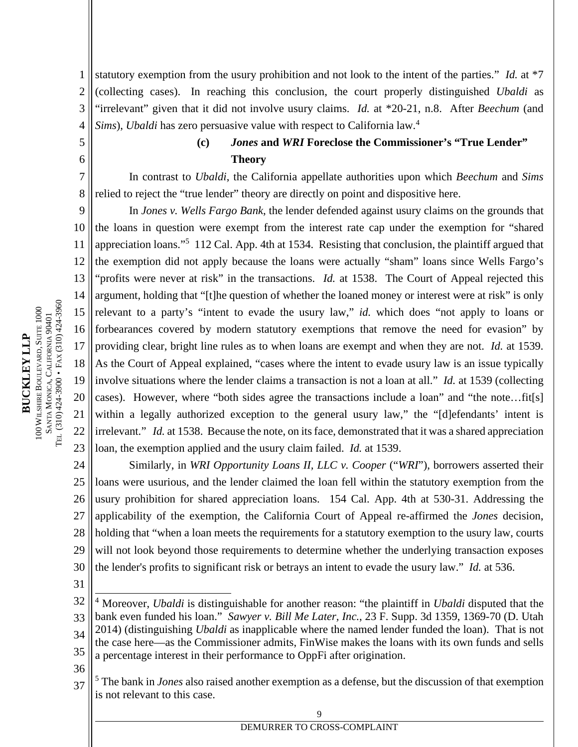1 2 3 4 statutory exemption from the usury prohibition and not look to the intent of the parties." *Id.* at \*7 (collecting cases). In reaching this conclusion, the court properly distinguished *Ubaldi* as "irrelevant" given that it did not involve usury claims. *Id.* at \*20-21, n.8. After *Beechum* (and *Sims*), *Ubaldi* has zero persuasive value with respect to California law.<sup>4</sup>

5 6

# **(c)** *Jones* **and** *WRI* **Foreclose the Commissioner's "True Lender" Theory**

7 8 In contrast to *Ubaldi*, the California appellate authorities upon which *Beechum* and *Sims* relied to reject the "true lender" theory are directly on point and dispositive here.

9 10 11 12 13 14 15 16 17 18 19 20 21 22 23 In *Jones v. Wells Fargo Bank*, the lender defended against usury claims on the grounds that the loans in question were exempt from the interest rate cap under the exemption for "shared appreciation loans."<sup>5</sup> 112 Cal. App. 4th at 1534. Resisting that conclusion, the plaintiff argued that the exemption did not apply because the loans were actually "sham" loans since Wells Fargo's "profits were never at risk" in the transactions. *Id.* at 1538. The Court of Appeal rejected this argument, holding that "[t]he question of whether the loaned money or interest were at risk" is only relevant to a party's "intent to evade the usury law," *id.* which does "not apply to loans or forbearances covered by modern statutory exemptions that remove the need for evasion" by providing clear, bright line rules as to when loans are exempt and when they are not. *Id.* at 1539. As the Court of Appeal explained, "cases where the intent to evade usury law is an issue typically involve situations where the lender claims a transaction is not a loan at all." *Id.* at 1539 (collecting cases). However, where "both sides agree the transactions include a loan" and "the note…fit[s] within a legally authorized exception to the general usury law," the "[d]efendants' intent is irrelevant." *Id.* at 1538. Because the note, on its face, demonstrated that it was a shared appreciation loan, the exemption applied and the usury claim failed. *Id.* at 1539.

24 25 26 27 28 29 30 Similarly, in *WRI Opportunity Loans II, LLC v. Cooper* ("*WRI*"), borrowers asserted their loans were usurious, and the lender claimed the loan fell within the statutory exemption from the usury prohibition for shared appreciation loans. 154 Cal. App. 4th at 530-31. Addressing the applicability of the exemption, the California Court of Appeal re-affirmed the *Jones* decision, holding that "when a loan meets the requirements for a statutory exemption to the usury law, courts will not look beyond those requirements to determine whether the underlying transaction exposes the lender's profits to significant risk or betrays an intent to evade the usury law." *Id.* at 536.

31

- the case here—as the Commissioner admits, FinWise makes the loans with its own funds and sells
- 35 a percentage interest in their performance to OppFi after origination.
- 36
- 37 5 The bank in *Jones* also raised another exemption as a defense, but the discussion of that exemption is not relevant to this case.

 $\overline{Q}$ 

<sup>32</sup> 33 34 4 Moreover, *Ubaldi* is distinguishable for another reason: "the plaintiff in *Ubaldi* disputed that the bank even funded his loan." *Sawyer v. Bill Me Later, Inc.*, 23 F. Supp. 3d 1359, 1369-70 (D. Utah 2014) (distinguishing *Ubaldi* as inapplicable where the named lender funded the loan). That is not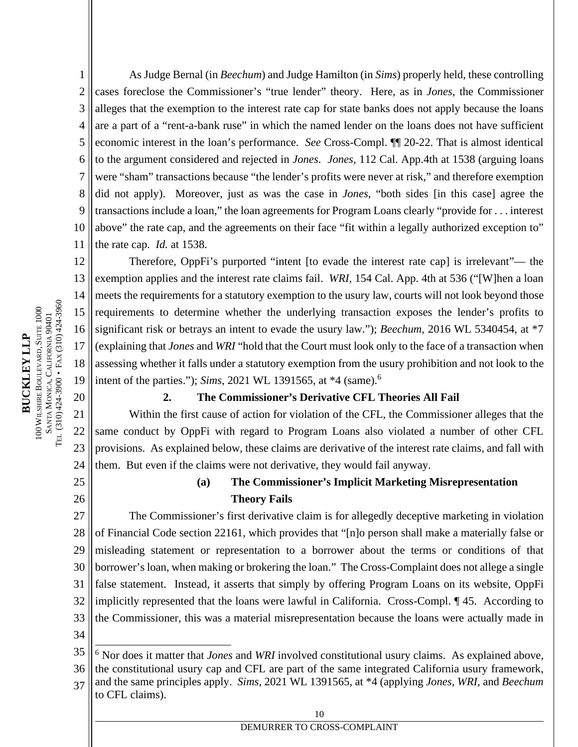1 2 3 4 5 6 7 8 9 10 11 As Judge Bernal (in *Beechum*) and Judge Hamilton (in *Sims*) properly held, these controlling cases foreclose the Commissioner's "true lender" theory. Here, as in *Jones*, the Commissioner alleges that the exemption to the interest rate cap for state banks does not apply because the loans are a part of a "rent-a-bank ruse" in which the named lender on the loans does not have sufficient economic interest in the loan's performance. *See* Cross-Compl. ¶¶ 20-22. That is almost identical to the argument considered and rejected in *Jones*. *Jones,* 112 Cal. App.4th at 1538 (arguing loans were "sham" transactions because "the lender's profits were never at risk," and therefore exemption did not apply). Moreover, just as was the case in *Jones*, "both sides [in this case] agree the transactions include a loan," the loan agreements for Program Loans clearly "provide for . . . interest above" the rate cap, and the agreements on their face "fit within a legally authorized exception to" the rate cap. *Id.* at 1538.

12 13 14 15 16 17 18 19 Therefore, OppFi's purported "intent [to evade the interest rate cap] is irrelevant"— the exemption applies and the interest rate claims fail. *WRI,* 154 Cal. App. 4th at 536 ("[W]hen a loan meets the requirements for a statutory exemption to the usury law, courts will not look beyond those requirements to determine whether the underlying transaction exposes the lender's profits to significant risk or betrays an intent to evade the usury law."); *Beechum,* 2016 WL 5340454, at \*7 (explaining that *Jones* and *WRI* "hold that the Court must look only to the face of a transaction when assessing whether it falls under a statutory exemption from the usury prohibition and not look to the intent of the parties."); *Sims*, 2021 WL 1391565, at \*4 (same).<sup>6</sup>

#### **2. The Commissioner's Derivative CFL Theories All Fail**

21 22 23 24 Within the first cause of action for violation of the CFL, the Commissioner alleges that the same conduct by OppFi with regard to Program Loans also violated a number of other CFL provisions. As explained below, these claims are derivative of the interest rate claims, and fall with them. But even if the claims were not derivative, they would fail anyway.

## 25 26

20

# **(a) The Commissioner's Implicit Marketing Misrepresentation Theory Fails**

27 28 29 30 31 32 33 The Commissioner's first derivative claim is for allegedly deceptive marketing in violation of Financial Code section 22161, which provides that "[n]o person shall make a materially false or misleading statement or representation to a borrower about the terms or conditions of that borrower's loan, when making or brokering the loan." The Cross-Complaint does not allege a single false statement. Instead, it asserts that simply by offering Program Loans on its website, OppFi implicitly represented that the loans were lawful in California. Cross-Compl. ¶ 45. According to the Commissioner, this was a material misrepresentation because the loans were actually made in

34

- 36 the constitutional usury cap and CFL are part of the same integrated California usury framework,
- 37 and the same principles apply. *Sims,* 2021 WL 1391565, at \*4 (applying *Jones, WRI,* and *Beechum* to CFL claims).

<sup>35</sup> <sup>6</sup> Nor does it matter that *Jones* and *WRI* involved constitutional usury claims. As explained above,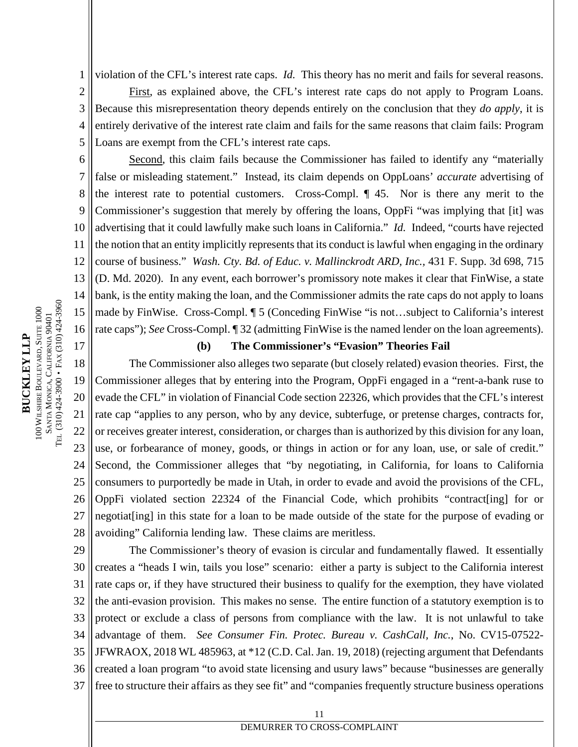1 violation of the CFL's interest rate caps. *Id.* This theory has no merit and fails for several reasons.

2 3 4 5 First, as explained above, the CFL's interest rate caps do not apply to Program Loans. Because this misrepresentation theory depends entirely on the conclusion that they *do apply*, it is entirely derivative of the interest rate claim and fails for the same reasons that claim fails: Program Loans are exempt from the CFL's interest rate caps.

6 7 8 9 10 11 12 13 14 15 16 Second, this claim fails because the Commissioner has failed to identify any "materially false or misleading statement." Instead, its claim depends on OppLoans' *accurate* advertising of the interest rate to potential customers. Cross-Compl. ¶ 45. Nor is there any merit to the Commissioner's suggestion that merely by offering the loans, OppFi "was implying that [it] was advertising that it could lawfully make such loans in California." *Id.* Indeed, "courts have rejected the notion that an entity implicitly represents that its conduct is lawful when engaging in the ordinary course of business." *Wash. Cty. Bd. of Educ. v. Mallinckrodt ARD, Inc.,* 431 F. Supp. 3d 698, 715 (D. Md. 2020). In any event, each borrower's promissory note makes it clear that FinWise, a state bank, is the entity making the loan, and the Commissioner admits the rate caps do not apply to loans made by FinWise. Cross-Compl. ¶ 5 (Conceding FinWise "is not…subject to California's interest rate caps"); *See* Cross-Compl. ¶ 32 (admitting FinWise is the named lender on the loan agreements).

#### **(b) The Commissioner's "Evasion" Theories Fail**

18 19 20 21 22 23 24 25 26 27 28 The Commissioner also alleges two separate (but closely related) evasion theories. First, the Commissioner alleges that by entering into the Program, OppFi engaged in a "rent-a-bank ruse to evade the CFL" in violation of Financial Code section 22326, which provides that the CFL's interest rate cap "applies to any person, who by any device, subterfuge, or pretense charges, contracts for, or receives greater interest, consideration, or charges than is authorized by this division for any loan, use, or forbearance of money, goods, or things in action or for any loan, use, or sale of credit." Second, the Commissioner alleges that "by negotiating, in California, for loans to California consumers to purportedly be made in Utah, in order to evade and avoid the provisions of the CFL, OppFi violated section 22324 of the Financial Code, which prohibits "contract[ing] for or negotiat[ing] in this state for a loan to be made outside of the state for the purpose of evading or avoiding" California lending law. These claims are meritless.

29 30 31 32 33 34 35 36 37 The Commissioner's theory of evasion is circular and fundamentally flawed. It essentially creates a "heads I win, tails you lose" scenario: either a party is subject to the California interest rate caps or, if they have structured their business to qualify for the exemption, they have violated the anti-evasion provision. This makes no sense. The entire function of a statutory exemption is to protect or exclude a class of persons from compliance with the law. It is not unlawful to take advantage of them. *See Consumer Fin. Protec. Bureau v. CashCall, Inc.*, No. CV15-07522- JFWRAOX, 2018 WL 485963, at \*12 (C.D. Cal. Jan. 19, 2018) (rejecting argument that Defendants created a loan program "to avoid state licensing and usury laws" because "businesses are generally free to structure their affairs as they see fit" and "companies frequently structure business operations

17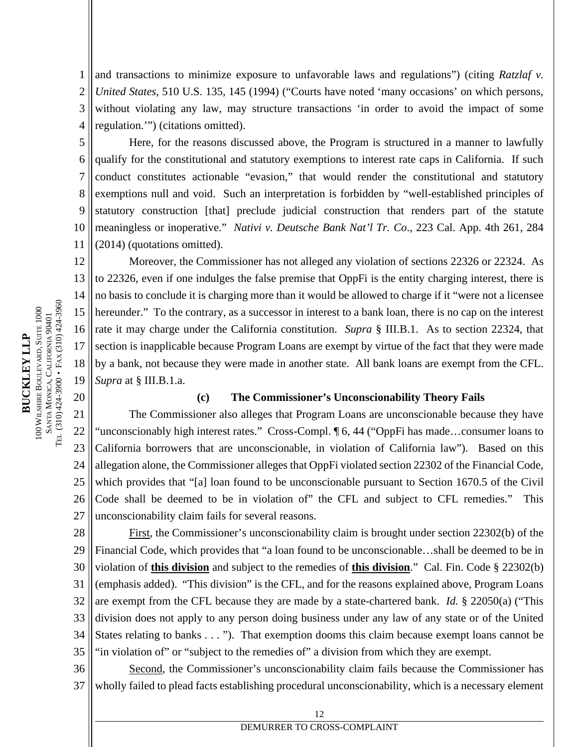1 2 3 4 and transactions to minimize exposure to unfavorable laws and regulations") (citing *Ratzlaf v. United States*, 510 U.S. 135, 145 (1994) ("Courts have noted 'many occasions' on which persons, without violating any law, may structure transactions 'in order to avoid the impact of some regulation.'") (citations omitted).

5 6 7 8 9 10 11 Here, for the reasons discussed above, the Program is structured in a manner to lawfully qualify for the constitutional and statutory exemptions to interest rate caps in California. If such conduct constitutes actionable "evasion," that would render the constitutional and statutory exemptions null and void. Such an interpretation is forbidden by "well-established principles of statutory construction [that] preclude judicial construction that renders part of the statute meaningless or inoperative." *Nativi v. Deutsche Bank Nat'l Tr. Co*., 223 Cal. App. 4th 261, 284 (2014) (quotations omitted).

12 13 14 15 16 17 18 19 Moreover, the Commissioner has not alleged any violation of sections 22326 or 22324. As to 22326, even if one indulges the false premise that OppFi is the entity charging interest, there is no basis to conclude it is charging more than it would be allowed to charge if it "were not a licensee hereunder." To the contrary, as a successor in interest to a bank loan, there is no cap on the interest rate it may charge under the California constitution. *Supra* § III.B.1. As to section 22324, that section is inapplicable because Program Loans are exempt by virtue of the fact that they were made by a bank, not because they were made in another state. All bank loans are exempt from the CFL. *Supra* at § III.B.1.a.

#### **(c) The Commissioner's Unconscionability Theory Fails**

21 22 23 24 25 26 27 The Commissioner also alleges that Program Loans are unconscionable because they have "unconscionably high interest rates." Cross-Compl. ¶ 6, 44 ("OppFi has made…consumer loans to California borrowers that are unconscionable, in violation of California law"). Based on this allegation alone, the Commissioner alleges that OppFi violated section 22302 of the Financial Code, which provides that "[a] loan found to be unconscionable pursuant to Section 1670.5 of the Civil Code shall be deemed to be in violation of" the CFL and subject to CFL remedies." This unconscionability claim fails for several reasons.

28 29 30 31 32 33 34 35 First, the Commissioner's unconscionability claim is brought under section 22302(b) of the Financial Code, which provides that "a loan found to be unconscionable…shall be deemed to be in violation of **this division** and subject to the remedies of **this division**." Cal. Fin. Code § 22302(b) (emphasis added). "This division" is the CFL, and for the reasons explained above, Program Loans are exempt from the CFL because they are made by a state-chartered bank. *Id.* § 22050(a) ("This division does not apply to any person doing business under any law of any state or of the United States relating to banks . . . "). That exemption dooms this claim because exempt loans cannot be "in violation of" or "subject to the remedies of" a division from which they are exempt.

36 37 Second, the Commissioner's unconscionability claim fails because the Commissioner has wholly failed to plead facts establishing procedural unconscionability, which is a necessary element

20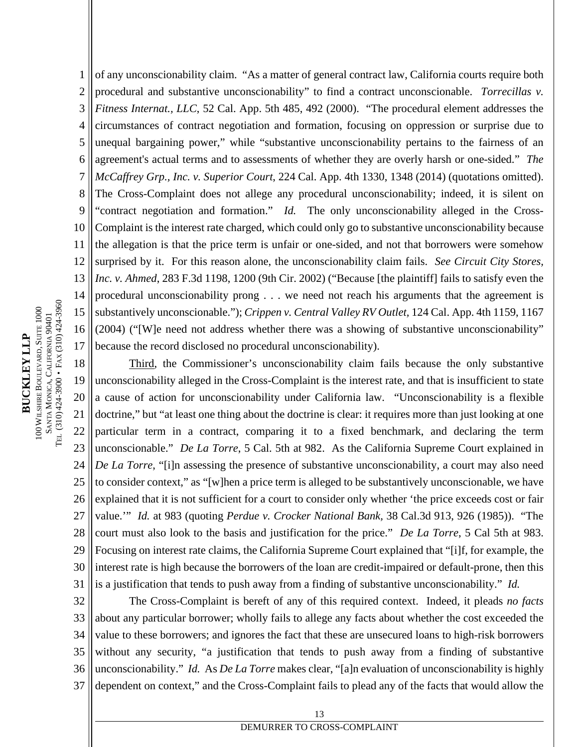1 2 3 4 5 6 7 8 9 10 11 12 13 14 15 16 17 of any unconscionability claim. "As a matter of general contract law, California courts require both procedural and substantive unconscionability" to find a contract unconscionable. *Torrecillas v. Fitness Internat., LLC*, 52 Cal. App. 5th 485, 492 (2000). "The procedural element addresses the circumstances of contract negotiation and formation, focusing on oppression or surprise due to unequal bargaining power," while "substantive unconscionability pertains to the fairness of an agreement's actual terms and to assessments of whether they are overly harsh or one-sided." *The McCaffrey Grp., Inc. v. Superior Court*, 224 Cal. App. 4th 1330, 1348 (2014) (quotations omitted). The Cross-Complaint does not allege any procedural unconscionability; indeed, it is silent on "contract negotiation and formation." *Id.* The only unconscionability alleged in the Cross-Complaint is the interest rate charged, which could only go to substantive unconscionability because the allegation is that the price term is unfair or one-sided, and not that borrowers were somehow surprised by it. For this reason alone, the unconscionability claim fails. *See Circuit City Stores, Inc. v. Ahmed*, 283 F.3d 1198, 1200 (9th Cir. 2002) ("Because [the plaintiff] fails to satisfy even the procedural unconscionability prong . . . we need not reach his arguments that the agreement is substantively unconscionable."); *Crippen v. Central Valley RV Outlet,* 124 Cal. App. 4th 1159, 1167 (2004) ("[W]e need not address whether there was a showing of substantive unconscionability" because the record disclosed no procedural unconscionability).

18 19 20 21 22 23 24 25 26 27 28 29 30 31 Third, the Commissioner's unconscionability claim fails because the only substantive unconscionability alleged in the Cross-Complaint is the interest rate, and that is insufficient to state a cause of action for unconscionability under California law. "Unconscionability is a flexible doctrine," but "at least one thing about the doctrine is clear: it requires more than just looking at one particular term in a contract, comparing it to a fixed benchmark, and declaring the term unconscionable." *De La Torre*, 5 Cal. 5th at 982. As the California Supreme Court explained in *De La Torre*, "[i]n assessing the presence of substantive unconscionability, a court may also need to consider context," as "[w]hen a price term is alleged to be substantively unconscionable, we have explained that it is not sufficient for a court to consider only whether 'the price exceeds cost or fair value.'" *Id.* at 983 (quoting *Perdue v. Crocker National Bank,* 38 Cal.3d 913, 926 (1985)). "The court must also look to the basis and justification for the price." *De La Torre*, 5 Cal 5th at 983. Focusing on interest rate claims, the California Supreme Court explained that "[i]f, for example, the interest rate is high because the borrowers of the loan are credit-impaired or default-prone, then this is a justification that tends to push away from a finding of substantive unconscionability." *Id.*

32 33 34 35 36 37 The Cross-Complaint is bereft of any of this required context. Indeed, it pleads *no facts* about any particular borrower; wholly fails to allege any facts about whether the cost exceeded the value to these borrowers; and ignores the fact that these are unsecured loans to high-risk borrowers without any security, "a justification that tends to push away from a finding of substantive unconscionability." *Id.* As *De La Torre* makes clear, "[a]n evaluation of unconscionability is highly dependent on context," and the Cross-Complaint fails to plead any of the facts that would allow the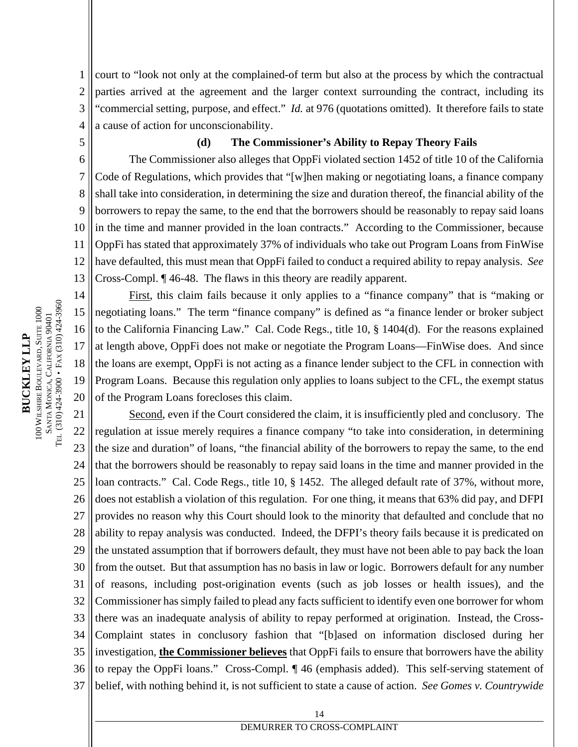1 2 3 4 court to "look not only at the complained-of term but also at the process by which the contractual parties arrived at the agreement and the larger context surrounding the contract, including its "commercial setting, purpose, and effect." *Id.* at 976 (quotations omitted). It therefore fails to state a cause of action for unconscionability.

5

#### **(d) The Commissioner's Ability to Repay Theory Fails**

6 7 8 9 10 11 12 13 The Commissioner also alleges that OppFi violated section 1452 of title 10 of the California Code of Regulations, which provides that "[w]hen making or negotiating loans, a finance company shall take into consideration, in determining the size and duration thereof, the financial ability of the borrowers to repay the same, to the end that the borrowers should be reasonably to repay said loans in the time and manner provided in the loan contracts." According to the Commissioner, because OppFi has stated that approximately 37% of individuals who take out Program Loans from FinWise have defaulted, this must mean that OppFi failed to conduct a required ability to repay analysis. *See* Cross-Compl. ¶ 46-48. The flaws in this theory are readily apparent.

14 15 16 17 18 19 20 First, this claim fails because it only applies to a "finance company" that is "making or negotiating loans." The term "finance company" is defined as "a finance lender or broker subject to the California Financing Law." Cal. Code Regs., title 10, § 1404(d). For the reasons explained at length above, OppFi does not make or negotiate the Program Loans—FinWise does. And since the loans are exempt, OppFi is not acting as a finance lender subject to the CFL in connection with Program Loans. Because this regulation only applies to loans subject to the CFL, the exempt status of the Program Loans forecloses this claim.

21 22 23 24 25 26 27 28 29 30 31 32 33 34 35 36 37 Second, even if the Court considered the claim, it is insufficiently pled and conclusory. The regulation at issue merely requires a finance company "to take into consideration, in determining the size and duration" of loans, "the financial ability of the borrowers to repay the same, to the end that the borrowers should be reasonably to repay said loans in the time and manner provided in the loan contracts." Cal. Code Regs., title 10, § 1452. The alleged default rate of 37%, without more, does not establish a violation of this regulation. For one thing, it means that 63% did pay, and DFPI provides no reason why this Court should look to the minority that defaulted and conclude that no ability to repay analysis was conducted. Indeed, the DFPI's theory fails because it is predicated on the unstated assumption that if borrowers default, they must have not been able to pay back the loan from the outset. But that assumption has no basis in law or logic. Borrowers default for any number of reasons, including post-origination events (such as job losses or health issues), and the Commissioner has simply failed to plead any facts sufficient to identify even one borrower for whom there was an inadequate analysis of ability to repay performed at origination. Instead, the Cross-Complaint states in conclusory fashion that "[b]ased on information disclosed during her investigation, **the Commissioner believes** that OppFi fails to ensure that borrowers have the ability to repay the OppFi loans." Cross-Compl. ¶ 46 (emphasis added). This self-serving statement of belief, with nothing behind it, is not sufficient to state a cause of action. *See Gomes v. Countrywide*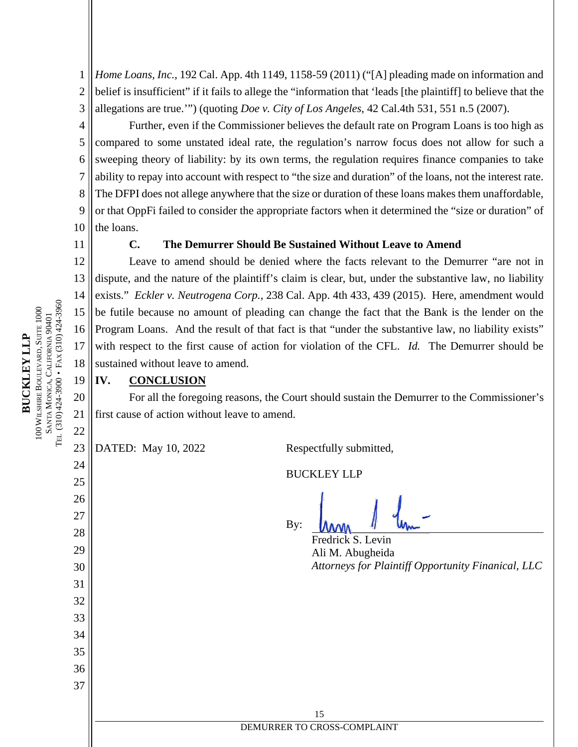1 2 3 *Home Loans, Inc.*, 192 Cal. App. 4th 1149, 1158-59 (2011) ("[A] pleading made on information and belief is insufficient" if it fails to allege the "information that 'leads [the plaintiff] to believe that the allegations are true.'") (quoting *Doe v. City of Los Angeles*, 42 Cal.4th 531, 551 n.5 (2007).

4 5 6 7 8 9 10 Further, even if the Commissioner believes the default rate on Program Loans is too high as compared to some unstated ideal rate, the regulation's narrow focus does not allow for such a sweeping theory of liability: by its own terms, the regulation requires finance companies to take ability to repay into account with respect to "the size and duration" of the loans, not the interest rate. The DFPI does not allege anywhere that the size or duration of these loans makes them unaffordable, or that OppFi failed to consider the appropriate factors when it determined the "size or duration" of the loans.

11

### **C. The Demurrer Should Be Sustained Without Leave to Amend**

12 13 14 15 16 17 18 Leave to amend should be denied where the facts relevant to the Demurrer "are not in dispute, and the nature of the plaintiff's claim is clear, but, under the substantive law, no liability exists." *Eckler v. Neutrogena Corp.,* 238 Cal. App. 4th 433, 439 (2015). Here, amendment would be futile because no amount of pleading can change the fact that the Bank is the lender on the Program Loans. And the result of that fact is that "under the substantive law, no liability exists" with respect to the first cause of action for violation of the CFL. *Id.* The Demurrer should be sustained without leave to amend.

#### **IV. CONCLUSION**

For all the foregoing reasons, the Court should sustain the Demurrer to the Commissioner's first cause of action without leave to amend.

23

DATED: May 10, 2022 Respectfully submitted,

BUCKLEY LLP

By:

Fredrick S. Levin Ali M. Abugheida *Attorneys for Plaintiff Opportunity Finanical, LLC*

**BUCKLEYLLP**100 WILSHIRE B OULEV ARD, SUITE 1000  $\mathbb{S}^4$ NTA  $\mathbf{\Sigma}$   $\mathbf{\beta}$ O NICA, C ALIFORNIA 90401 TEL (310) 424-3900 • F AX(310) 424-3960

15